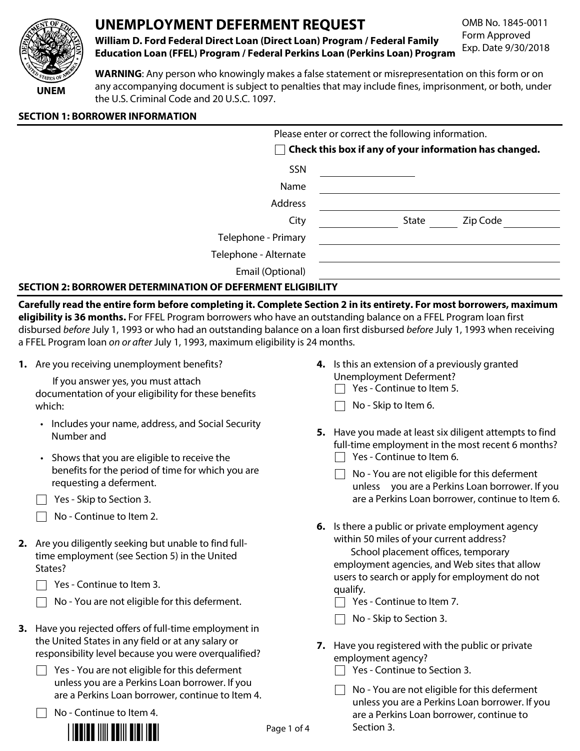

# UNEMPLOYMENT DEFERMENT REQUEST

OMB No. 1845-0011 Form Approved Exp. Date 9/30/2018

William D. Ford Federal Direct Loan (Direct Loan) Program / Federal Family **Education Loan (FFEL) Program / Federal Perkins Loan (Perkins Loan) Program** 

WARNING: Any person who knowingly makes a false statement or misrepresentation on this form or on any accompanying document is subject to penalties that may include fines, imprisonment, or both, under the U.S. Criminal Code and 20 U.S.C. 1097.

# **SECTION 1: BORROWER INFORMATION**

|                       | Please enter or correct the following information.            |  |  |  |  |  |
|-----------------------|---------------------------------------------------------------|--|--|--|--|--|
|                       | $\Box$ Check this box if any of your information has changed. |  |  |  |  |  |
| SSN                   |                                                               |  |  |  |  |  |
| Name                  |                                                               |  |  |  |  |  |
| Address               |                                                               |  |  |  |  |  |
| City                  | Zip Code<br>State                                             |  |  |  |  |  |
| Telephone - Primary   |                                                               |  |  |  |  |  |
| Telephone - Alternate |                                                               |  |  |  |  |  |
| Email (Optional)      |                                                               |  |  |  |  |  |
|                       |                                                               |  |  |  |  |  |

# **SECTION 2: BORROWER DETERMINATION OF DEFERMENT ELIGIBILITY**

Carefully read the entire form before completing it. Complete Section 2 in its entirety. For most borrowers, maximum eligibility is 36 months. For FFEL Program borrowers who have an outstanding balance on a FFEL Program loan first disbursed before July 1, 1993 or who had an outstanding balance on a loan first disbursed before July 1, 1993 when receiving a FFEL Program loan on or after July 1, 1993, maximum eligibility is 24 months.

1. Are you receiving unemployment benefits?

If you answer yes, you must attach documentation of your eligibility for these benefits which:

- Includes your name, address, and Social Security Number and
- Shows that you are eligible to receive the benefits for the period of time for which you are requesting a deferment.
- $\Box$  Yes Skip to Section 3.
- $\Box$  No Continue to Item 2.
- 2. Are you diligently seeking but unable to find fulltime employment (see Section 5) in the United States?
	- $\Box$  Yes Continue to Item 3.
	- No You are not eligible for this deferment.
- 3. Have you rejected offers of full-time employment in the United States in any field or at any salary or responsibility level because you were overqualified?
	- $\Box$  Yes You are not eligible for this deferment unless you are a Perkins Loan borrower. If you are a Perkins Loan borrower, continue to Item 4.

 $\Box$  No - Continue to Item 4.



- 4. Is this an extension of a previously granted Unemployment Deferment?
	- $\Box$  Yes Continue to Item 5.
	- $\Box$  No Skip to Item 6.
- 5. Have you made at least six diligent attempts to find full-time employment in the most recent 6 months?  $\Box$  Yes - Continue to Item 6.
	- $\Box$  No You are not eligible for this deferment unless you are a Perkins Loan borrower. If you are a Perkins Loan borrower, continue to Item 6.
- 6. Is there a public or private employment agency within 50 miles of your current address?

School placement offices, temporary employment agencies, and Web sites that allow users to search or apply for employment do not qualify.

- $\Box$  Yes Continue to Item 7.
- $\Box$  No Skip to Section 3.
- 7. Have you registered with the public or private employment agency?
	- $\Box$  Yes Continue to Section 3.
	- $\Box$  No You are not eligible for this deferment unless you are a Perkins Loan borrower. If you are a Perkins Loan borrower, continue to Section 3.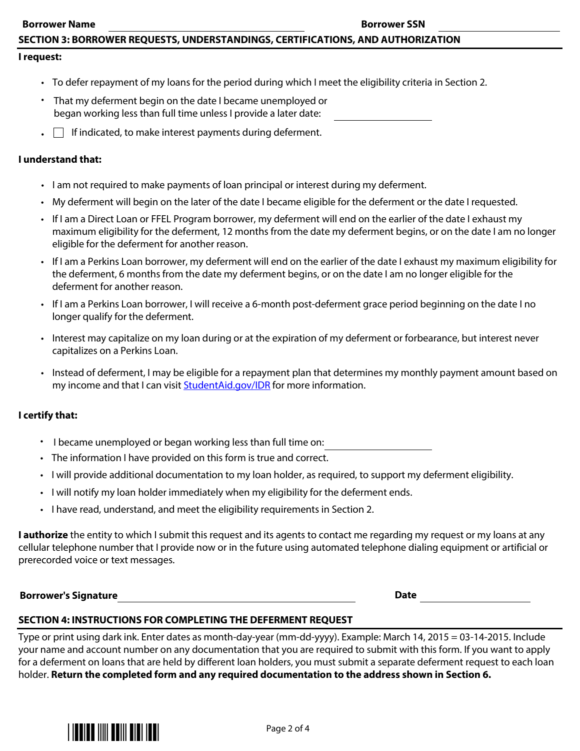# SECTION 3: BORROWER REQUESTS, UNDERSTANDINGS, CERTIFICATIONS, AND AUTHORIZATION

#### I request:

- To defer repayment of my loans for the period during which I meet the eligibility criteria in Section 2.
- That my deferment begin on the date I became unemployed or began working less than full time unless I provide a later date:
- $\blacksquare$  If indicated, to make interest payments during deferment.

#### I understand that:

- $\blacksquare$  I am not required to make payments of loan principal or interest during my deferment.
- My deferment will begin on the later of the date I became eligible for the deferment or the date I requested.
- If I am a Direct Loan or FFEL Program borrower, my deferment will end on the earlier of the date I exhaust my maximum eligibility for the deferment, 12 months from the date my deferment begins, or on the date I am no longer eligible for the deferment for another reason.
- If I am a Perkins Loan borrower, my deferment will end on the earlier of the date I exhaust my maximum eligibility for the deferment, 6 months from the date my deferment begins, or on the date I am no longer eligible for the deferment for another reason.
- $\cdot$  If Lam a Perkins Loan borrower, I will receive a 6-month post-deferment grace period beginning on the date I no longer qualify for the deferment.
- Interest may capitalize on my loan during or at the expiration of my deferment or forbearance, but interest never capitalizes on a Perkins Loan.
- Instead of deferment, I may be eligible for a repayment plan that determines my monthly payment amount based on my income and that I can visit StudentAid.gov/IDR for more information.

#### I certify that:

- I became unemployed or began working less than full time on:
- Fig. The information I have provided on this form is true and correct.
- $\cdot$  I will provide additional documentation to my loan holder, as required, to support my deferment eligibility.
- I will notify my loan holder immediately when my eligibility for the deferment ends.
- I have read, understand, and meet the eligibility requirements in Section 2.

**I authorize** the entity to which I submit this request and its agents to contact me regarding my request or my loans at any cellular telephone number that I provide now or in the future using automated telephone dialing equipment or artificial or prerecorded voice or text messages.

2020 Borrower's Signature and Superior Section 1, 2020 1, 2020 1, 2020 1, 2020 1, 2020 1, 2020 1, 2020 1, 2020

#### SECTION 4: INSTRUCTIONS FOR COMPLETING THE DEFERMENT REQUEST

Type or print using dark ink. Enter dates as month-day-year (mm-dd-yyyy). Example: March 14, 2015 = 03-14-2015. Include your name and account number on any documentation that you are required to submit with this form. If you want to apply for a deferment on loans that are held by different loan holders, you must submit a separate deferment request to each loan holder. Return the completed form and any required documentation to the address shown in Section 6.

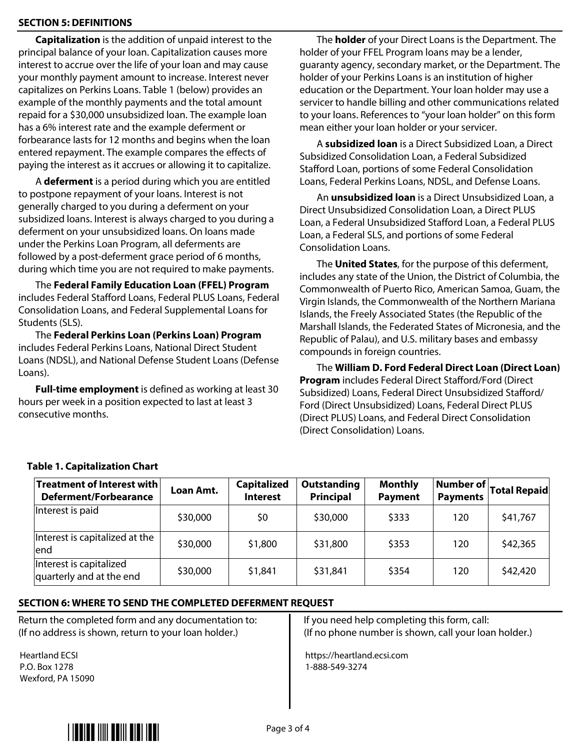# **SECTION 5: DEFINITIONS**

Capitalization is the addition of unpaid interest to the principal balance of your loan. Capitalization causes more interest to accrue over the life of your loan and may cause your monthly payment amount to increase. Interest never capitalizes on Perkins Loans. Table 1 (below) provides an example of the monthly payments and the total amount repaid for a \$30,000 unsubsidized loan. The example loan has a 6% interest rate and the example deferment or forbearance lasts for 12 months and begins when the loan entered repayment. The example compares the effects of paying the interest as it accrues or allowing it to capitalize.

A deferment is a period during which you are entitled to postpone repayment of your loans. Interest is not generally charged to you during a deferment on your subsidized loans. Interest is always charged to you during a deferment on your unsubsidized loans. On loans made under the Perkins Loan Program, all deferments are followed by a post-deferment grace period of 6 months, during which time you are not required to make payments.

The Federal Family Education Loan (FFEL) Program includes Federal Stafford Loans, Federal PLUS Loans, Federal Consolidation Loans, and Federal Supplemental Loans for Students (SLS).

The Federal Perkins Loan (Perkins Loan) Program includes Federal Perkins Loans, National Direct Student Loans (NDSL), and National Defense Student Loans (Defense Loans).

**Full-time employment** is defined as working at least 30 hours per week in a position expected to last at least 3  $\overline{\phantom{a}}$  consecutive months.

The **holder** of your Direct Loans is the Department. The holder of your FFEL Program loans may be a lender, guaranty agency, secondary market, or the Department. The holder of your Perkins Loans is an institution of higher education or the Department. Your loan holder may use a servicer to handle billing and other communications related to your loans. References to "your loan holder" on this form mean either your loan holder or your servicer.

A subsidized loan is a Direct Subsidized Loan, a Direct Subsidized Consolidation Loan, a Federal Subsidized Stafford Loan, portions of some Federal Consolidation Loans, Federal Perkins Loans, NDSL, and Defense Loans.

An **unsubsidized loan** is a Direct Unsubsidized Loan, a Direct Unsubsidized Consolidation Loan, a Direct PLUS Loan, a Federal Unsubsidized Stafford Loan, a Federal PLUS Loan, a Federal SLS, and portions of some Federal Consolidation Loans.

The **United States**, for the purpose of this deferment, includes any state of the Union, the District of Columbia, the Commonwealth of Puerto Rico, American Samoa, Guam, the Virgin Islands, the Commonwealth of the Northern Mariana Islands, the Freely Associated States (the Republic of the Marshall Islands, the Federated States of Micronesia, and the Republic of Palau), and U.S. military bases and embassy compounds in foreign countries.

The William D. Ford Federal Direct Loan (Direct Loan) Program includes Federal Direct Stafford/Ford (Direct Subsidized) Loans, Federal Direct Unsubsidized Stafford/ Ford (Direct Unsubsidized) Loans, Federal Direct PLUS (Direct PLUS) Loans, and Federal Direct Consolidation (Direct Consolidation) Loans.

| <b>Treatment of Interest with <math> </math></b><br><b>Deferment/Forbearance</b> | Loan Amt. | <b>Capitalized</b><br><b>Interest</b> | <b>Outstanding</b><br><b>Principal</b> | <b>Monthly</b><br><b>Payment</b> | Number of  <br><b>Payments</b> | <b>Total Repaid</b> |
|----------------------------------------------------------------------------------|-----------|---------------------------------------|----------------------------------------|----------------------------------|--------------------------------|---------------------|
| Interest is paid                                                                 | \$30,000  | \$0                                   | \$30,000                               | \$333                            | 120                            | \$41,767            |
| Interest is capitalized at the<br>lend                                           | \$30,000  | \$1,800                               | \$31,800                               | \$353                            | 120                            | \$42,365            |
| Interest is capitalized<br>quarterly and at the end                              | \$30,000  | \$1,841                               | \$31,841                               | \$354                            | 120                            | \$42,420            |

# Table 1. Capitalization Chart

# SECTION 6: WHERE TO SEND THE COMPLETED DEFERMENT REQUEST

Return the completed form and any documentation to: (If no address is shown, return to your loan holder.)

Heartland ECSI P.O. Box 1278 Wexford, PA 15090 If you need help completing this form, call:  $\left($  If no phone number is shown, call your loan holder.)

https://heartland.ecsi.com 1-888-549-3274